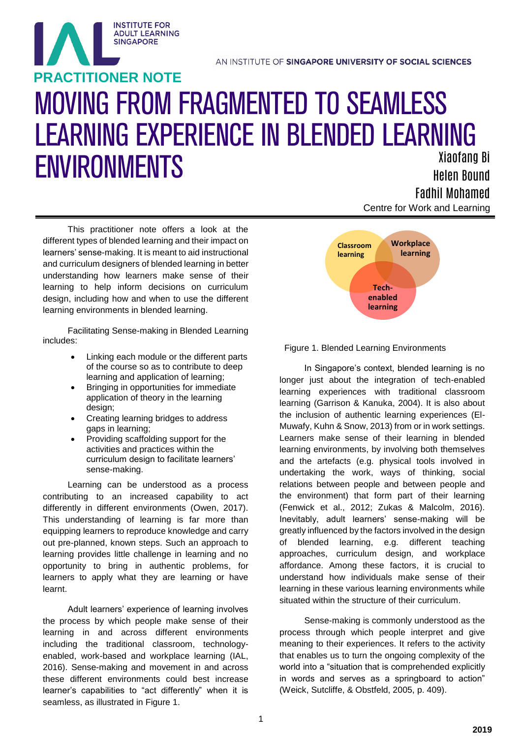# MOVING FROM FRAGMENTED TO SEAMLESS LEARNING EXPERIENCE IN BLENDED LEARNING ENVIRONMENTS Xiaofang Bi **PRACTITIONER NOTE**

 Centre for Work and Learning Helen Bound Fadhil Mohamed

This practitioner note offers a look at the different types of blended learning and their impact on learners' sense-making. It is meant to aid instructional and curriculum designers of blended learning in better understanding how learners make sense of their learning to help inform decisions on curriculum design, including how and when to use the different learning environments in blended learning.

**INSTITUTE FOR ADULT LEARNING SINGAPORE** 

Facilitating Sense-making in Blended Learning includes:

- Linking each module or the different parts of the course so as to contribute to deep learning and application of learning;
- Bringing in opportunities for immediate application of theory in the learning design;
- Creating learning bridges to address gaps in learning;
- Providing scaffolding support for the activities and practices within the curriculum design to facilitate learners' sense-making.

Learning can be understood as a process contributing to an increased capability to act differently in different environments (Owen, 2017). This understanding of learning is far more than equipping learners to reproduce knowledge and carry out pre-planned, known steps. Such an approach to learning provides little challenge in learning and no opportunity to bring in authentic problems, for learners to apply what they are learning or have learnt.

Adult learners' experience of learning involves the process by which people make sense of their learning in and across different environments including the traditional classroom, technologyenabled, work-based and workplace learning (IAL, 2016). Sense-making and movement in and across these different environments could best increase learner's capabilities to "act differently" when it is seamless, as illustrated in Figure 1.



Figure 1. Blended Learning Environments

In Singapore's context, blended learning is no longer just about the integration of tech-enabled learning experiences with traditional classroom learning (Garrison & Kanuka, 2004). It is also about the inclusion of authentic learning experiences (El-Muwafy, Kuhn & Snow, 2013) from or in work settings. Learners make sense of their learning in blended learning environments, by involving both themselves and the artefacts (e.g. physical tools involved in undertaking the work, ways of thinking, social relations between people and between people and the environment) that form part of their learning (Fenwick et al., 2012; Zukas & Malcolm, 2016). Inevitably, adult learners' sense-making will be greatly influenced by the factors involved in the design of blended learning, e.g. different teaching approaches, curriculum design, and workplace affordance. Among these factors, it is crucial to understand how individuals make sense of their learning in these various learning environments while situated within the structure of their curriculum.

Sense-making is commonly understood as the process through which people interpret and give meaning to their experiences. It refers to the activity that enables us to turn the ongoing complexity of the world into a "situation that is comprehended explicitly in words and serves as a springboard to action" (Weick, Sutcliffe, & Obstfeld, 2005, p. 409).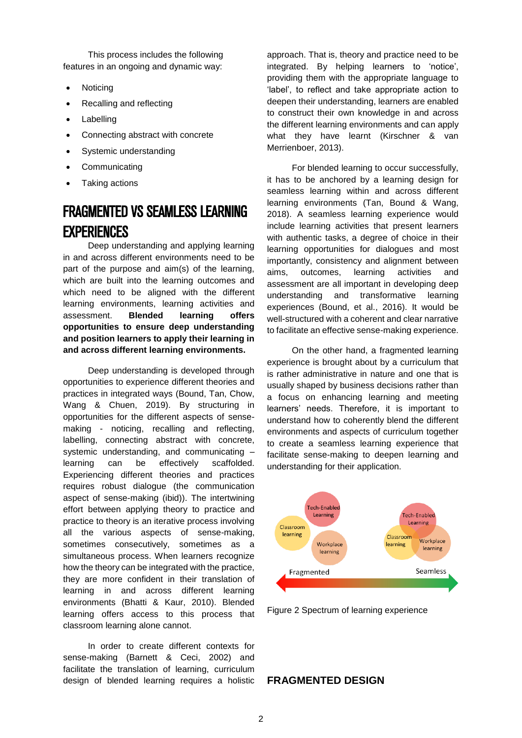This process includes the following features in an ongoing and dynamic way:

- Noticing
- Recalling and reflecting
- Labelling
- Connecting abstract with concrete
- Systemic understanding
- **Communicating**
- Taking actions

# FRAGMENTED VS SEAMLESS LEARNING **EXPERIENCES**

Deep understanding and applying learning in and across different environments need to be part of the purpose and aim(s) of the learning, which are built into the learning outcomes and which need to be aligned with the different learning environments, learning activities and assessment. **Blended learning offers opportunities to ensure deep understanding and position learners to apply their learning in and across different learning environments.**

Deep understanding is developed through opportunities to experience different theories and practices in integrated ways (Bound, Tan, Chow, Wang & Chuen, 2019). By structuring in opportunities for the different aspects of sensemaking - noticing, recalling and reflecting, labelling, connecting abstract with concrete, systemic understanding, and communicating – learning can be effectively scaffolded. Experiencing different theories and practices requires robust dialogue (the communication aspect of sense-making (ibid)). The intertwining effort between applying theory to practice and practice to theory is an iterative process involving all the various aspects of sense-making, sometimes consecutively, sometimes as a simultaneous process. When learners recognize how the theory can be integrated with the practice, they are more confident in their translation of learning in and across different learning environments (Bhatti & Kaur, 2010). Blended learning offers access to this process that classroom learning alone cannot.

In order to create different contexts for sense-making (Barnett & Ceci, 2002) and facilitate the translation of learning, curriculum design of blended learning requires a holistic approach. That is, theory and practice need to be integrated. By helping learners to 'notice', providing them with the appropriate language to 'label', to reflect and take appropriate action to deepen their understanding, learners are enabled to construct their own knowledge in and across the different learning environments and can apply what they have learnt (Kirschner & van Merrienboer, 2013).

For blended learning to occur successfully, it has to be anchored by a learning design for seamless learning within and across different learning environments (Tan, Bound & Wang, 2018). A seamless learning experience would include learning activities that present learners with authentic tasks, a degree of choice in their learning opportunities for dialogues and most importantly, consistency and alignment between aims, outcomes, learning activities and assessment are all important in developing deep understanding and transformative learning experiences (Bound, et al., 2016). It would be well-structured with a coherent and clear narrative to facilitate an effective sense-making experience.

On the other hand, a fragmented learning experience is brought about by a curriculum that is rather administrative in nature and one that is usually shaped by business decisions rather than a focus on enhancing learning and meeting learners' needs. Therefore, it is important to understand how to coherently blend the different environments and aspects of curriculum together to create a seamless learning experience that facilitate sense-making to deepen learning and understanding for their application.



Figure 2 Spectrum of learning experience

## **FRAGMENTED DESIGN**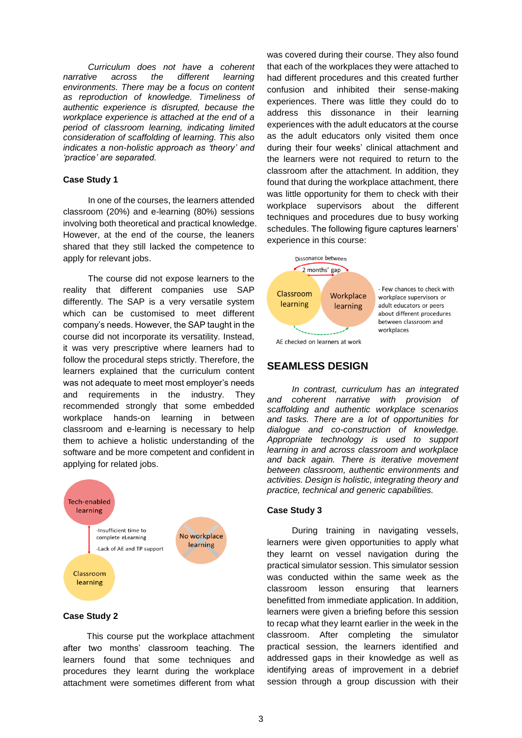*Curriculum does not have a coherent narrative across the different learning environments. There may be a focus on content as reproduction of knowledge. Timeliness of authentic experience is disrupted, because the workplace experience is attached at the end of a period of classroom learning, indicating limited consideration of scaffolding of learning. This also indicates a non-holistic approach as 'theory' and 'practice' are separated.*

#### **Case Study 1**

In one of the courses, the learners attended classroom (20%) and e-learning (80%) sessions involving both theoretical and practical knowledge. However, at the end of the course, the leaners shared that they still lacked the competence to apply for relevant jobs.

The course did not expose learners to the reality that different companies use SAP differently. The SAP is a very versatile system which can be customised to meet different company's needs. However, the SAP taught in the course did not incorporate its versatility. Instead, it was very prescriptive where learners had to follow the procedural steps strictly. Therefore, the learners explained that the curriculum content was not adequate to meet most employer's needs and requirements in the industry. They recommended strongly that some embedded workplace hands-on learning in between classroom and e-learning is necessary to help them to achieve a holistic understanding of the software and be more competent and confident in applying for related jobs.



#### **Case Study 2**

This course put the workplace attachment after two months' classroom teaching. The learners found that some techniques and procedures they learnt during the workplace attachment were sometimes different from what

was covered during their course. They also found that each of the workplaces they were attached to had different procedures and this created further confusion and inhibited their sense-making experiences. There was little they could do to address this dissonance in their learning experiences with the adult educators at the course as the adult educators only visited them once during their four weeks' clinical attachment and the learners were not required to return to the classroom after the attachment. In addition, they found that during the workplace attachment, there was little opportunity for them to check with their workplace supervisors about the different techniques and procedures due to busy working schedules. The following figure captures learners' experience in this course:



# **SEAMLESS DESIGN**

*In contrast, curriculum has an integrated and coherent narrative with provision of scaffolding and authentic workplace scenarios and tasks. There are a lot of opportunities for dialogue and co-construction of knowledge. Appropriate technology is used to support learning in and across classroom and workplace and back again. There is iterative movement between classroom, authentic environments and activities. Design is holistic, integrating theory and practice, technical and generic capabilities.*

#### **Case Study 3**

During training in navigating vessels, learners were given opportunities to apply what they learnt on vessel navigation during the practical simulator session. This simulator session was conducted within the same week as the classroom lesson ensuring that learners benefitted from immediate application. In addition, learners were given a briefing before this session to recap what they learnt earlier in the week in the classroom. After completing the simulator practical session, the learners identified and addressed gaps in their knowledge as well as identifying areas of improvement in a debrief session through a group discussion with their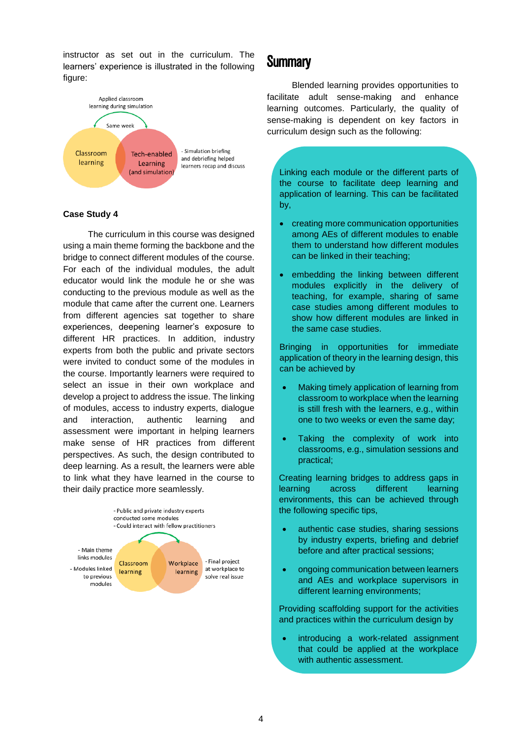instructor as set out in the curriculum. The learners' experience is illustrated in the following figure:



#### **Case Study 4**

The curriculum in this course was designed using a main theme forming the backbone and the bridge to connect different modules of the course. For each of the individual modules, the adult educator would link the module he or she was conducting to the previous module as well as the module that came after the current one. Learners from different agencies sat together to share experiences, deepening learner's exposure to different HR practices. In addition, industry experts from both the public and private sectors were invited to conduct some of the modules in the course. Importantly learners were required to select an issue in their own workplace and develop a project to address the issue. The linking of modules, access to industry experts, dialogue and interaction, authentic learning and assessment were important in helping learners make sense of HR practices from different perspectives. As such, the design contributed to deep learning. As a result, the learners were able to link what they have learned in the course to their daily practice more seamlessly.



# **Summary**

Blended learning provides opportunities to facilitate adult sense-making and enhance learning outcomes. Particularly, the quality of sense-making is dependent on key factors in curriculum design such as the following:

Linking each module or the different parts of the course to facilitate deep learning and application of learning. This can be facilitated by,

- creating more communication opportunities among AEs of different modules to enable them to understand how different modules can be linked in their teaching;
- embedding the linking between different modules explicitly in the delivery of teaching, for example, sharing of same case studies among different modules to show how different modules are linked in the same case studies.

Bringing in opportunities for immediate application of theory in the learning design, this can be achieved by

- Making timely application of learning from classroom to workplace when the learning is still fresh with the learners, e.g., within one to two weeks or even the same day;
- Taking the complexity of work into classrooms, e.g., simulation sessions and practical;

Creating learning bridges to address gaps in learning across different learning environments, this can be achieved through the following specific tips,

- authentic case studies, sharing sessions by industry experts, briefing and debrief before and after practical sessions;
- ongoing communication between learners and AEs and workplace supervisors in different learning environments;

Providing scaffolding support for the activities and practices within the curriculum design by

introducing a work-related assignment that could be applied at the workplace with authentic assessment.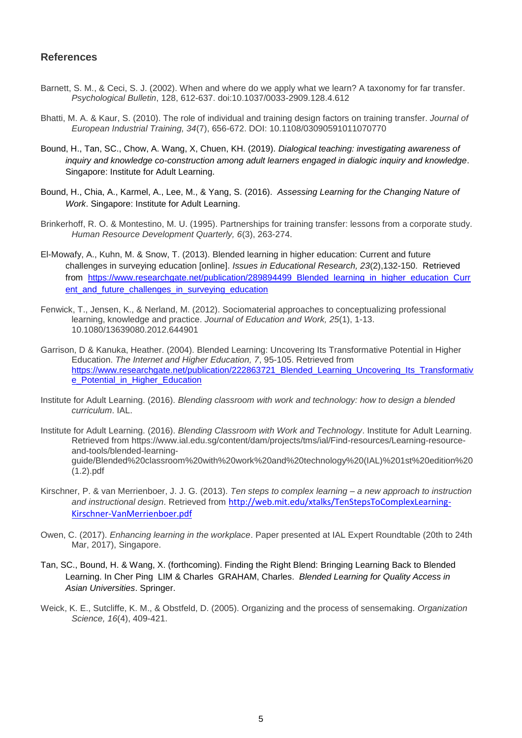### **References**

- Barnett, S. M., & Ceci, S. J. (2002). When and where do we apply what we learn? A taxonomy for far transfer. *Psychological Bulletin*, 128, 612-637. doi:10.1037/0033-2909.128.4.612
- Bhatti, M. A. & Kaur, S. (2010). The role of individual and training design factors on training transfer. *Journal of European Industrial Training, 34*(7), 656-672. DOI: 10.1108/03090591011070770
- Bound, H., Tan, SC., Chow, A. Wang, X, Chuen, KH. (2019). *Dialogical teaching: investigating awareness of inquiry and knowledge co-construction among adult learners engaged in dialogic inquiry and knowledge*. Singapore: Institute for Adult Learning.
- Bound, H., Chia, A., Karmel, A., Lee, M., & Yang, S. (2016). *Assessing Learning for the Changing Nature of Work*. Singapore: Institute for Adult Learning.
- Brinkerhoff, R. O. & Montestino, M. U. (1995). Partnerships for training transfer: lessons from a corporate study. *Human Resource Development Quarterly, 6*(3), 263-274.
- El-Mowafy, A., Kuhn, M. & Snow, T. (2013). Blended learning in higher education: Current and future challenges in surveying education [online]. *Issues in Educational Research, 23*(2),132-150. Retrieved from https://www.researchgate.net/publication/289894499 Blended learning in higher education Curr [ent\\_and\\_future\\_challenges\\_in\\_surveying\\_education](https://www.researchgate.net/publication/289894499_Blended_learning_in_higher_education_Current_and_future_challenges_in_surveying_education)
- Fenwick, T., Jensen, K., & Nerland, M. (2012). Sociomaterial approaches to conceptualizing professional learning, knowledge and practice. *Journal of Education and Work, 25*(1), 1-13. 10.1080/13639080.2012.644901
- Garrison, D & Kanuka, Heather. (2004). Blended Learning: Uncovering Its Transformative Potential in Higher Education. *The Internet and Higher Education, 7*, 95-105. Retrieved from [https://www.researchgate.net/publication/222863721\\_Blended\\_Learning\\_Uncovering\\_Its\\_Transformativ](https://www.researchgate.net/publication/222863721_Blended_Learning_Uncovering_Its_Transformative_Potential_in_Higher_Education) [e\\_Potential\\_in\\_Higher\\_Education](https://www.researchgate.net/publication/222863721_Blended_Learning_Uncovering_Its_Transformative_Potential_in_Higher_Education)
- Institute for Adult Learning. (2016). *Blending classroom with work and technology: how to design a blended curriculum*. IAL.
- Institute for Adult Learning. (2016). *Blending Classroom with Work and Technology*. Institute for Adult Learning. Retrieved from https://www.ial.edu.sg/content/dam/projects/tms/ial/Find-resources/Learning-resourceand-tools/blended-learningguide/Blended%20classroom%20with%20work%20and%20technology%20(IAL)%201st%20edition%20 (1.2).pdf
- Kirschner, P. & van Merrienboer, J. J. G. (2013). *Ten steps to complex learning – a new approach to instruction and instructional design*. Retrieved from [http://web.mit.edu/xtalks/TenStepsToComplexLearning-](http://web.mit.edu/xtalks/TenStepsToComplexLearning-Kirschner-VanMerrienboer.pdf)[Kirschner-VanMerrienboer.pdf](http://web.mit.edu/xtalks/TenStepsToComplexLearning-Kirschner-VanMerrienboer.pdf)
- Owen, C. (2017). *Enhancing learning in the workplace*. Paper presented at IAL Expert Roundtable (20th to 24th Mar, 2017), Singapore.
- Tan, SC., Bound, H. & Wang, X. (forthcoming). Finding the Right Blend: Bringing Learning Back to Blended Learning. In Cher Ping LIM & Charles GRAHAM, Charles. *Blended Learning for Quality Access in Asian Universities*. Springer.
- Weick, K. E., Sutcliffe, K. M., & Obstfeld, D. (2005). Organizing and the process of sensemaking. *Organization Science, 16*(4), 409-421.